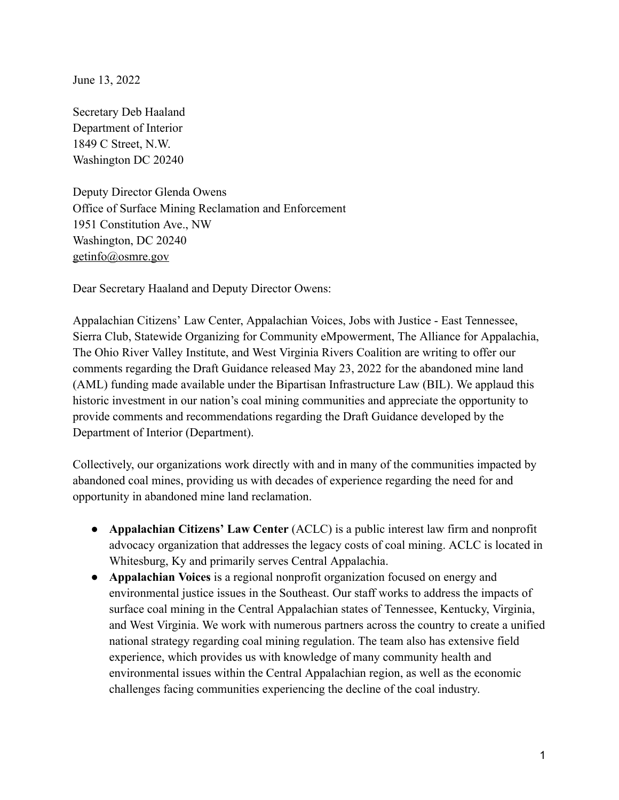June 13, 2022

Secretary Deb Haaland Department of Interior 1849 C Street, N.W. Washington DC 20240

Deputy Director Glenda Owens Office of Surface Mining Reclamation and Enforcement 1951 Constitution Ave., NW Washington, DC 20240 [getinfo@osmre.gov](mailto:getinfo@osmre.gov)

Dear Secretary Haaland and Deputy Director Owens:

Appalachian Citizens' Law Center, Appalachian Voices, Jobs with Justice - East Tennessee, Sierra Club, Statewide Organizing for Community eMpowerment, The Alliance for Appalachia, The Ohio River Valley Institute, and West Virginia Rivers Coalition are writing to offer our comments regarding the Draft Guidance released May 23, 2022 for the abandoned mine land (AML) funding made available under the Bipartisan Infrastructure Law (BIL). We applaud this historic investment in our nation's coal mining communities and appreciate the opportunity to provide comments and recommendations regarding the Draft Guidance developed by the Department of Interior (Department).

Collectively, our organizations work directly with and in many of the communities impacted by abandoned coal mines, providing us with decades of experience regarding the need for and opportunity in abandoned mine land reclamation.

- **Appalachian Citizens' Law Center** (ACLC) is a public interest law firm and nonprofit advocacy organization that addresses the legacy costs of coal mining. ACLC is located in Whitesburg, Ky and primarily serves Central Appalachia.
- **Appalachian Voices** is a regional nonprofit organization focused on energy and environmental justice issues in the Southeast. Our staff works to address the impacts of surface coal mining in the Central Appalachian states of Tennessee, Kentucky, Virginia, and West Virginia. We work with numerous partners across the country to create a unified national strategy regarding coal mining regulation. The team also has extensive field experience, which provides us with knowledge of many community health and environmental issues within the Central Appalachian region, as well as the economic challenges facing communities experiencing the decline of the coal industry.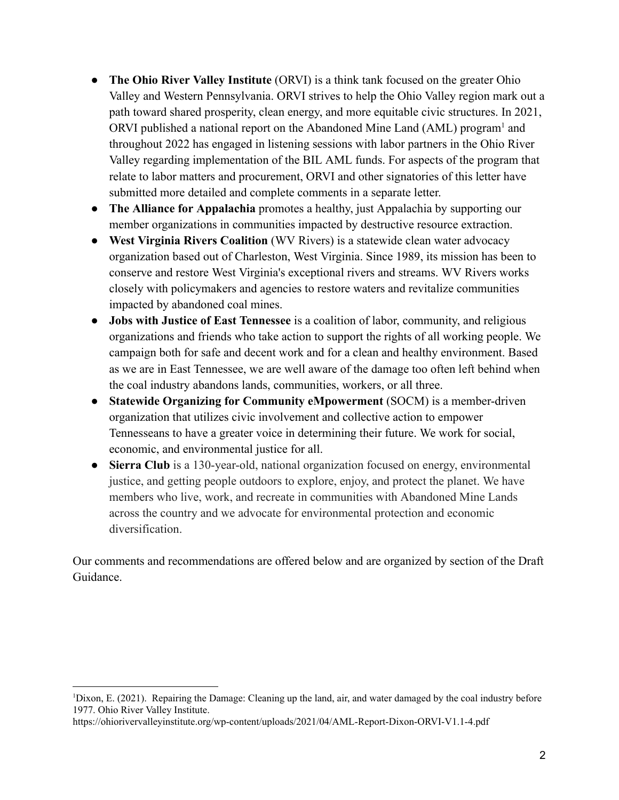- **The Ohio River Valley Institute** (ORVI) is a think tank focused on the greater Ohio Valley and Western Pennsylvania. ORVI strives to help the Ohio Valley region mark out a path toward shared prosperity, clean energy, and more equitable civic structures. In 2021, ORVI published a national report on the Abandoned Mine Land (AML) program<sup>1</sup> and throughout 2022 has engaged in listening sessions with labor partners in the Ohio River Valley regarding implementation of the BIL AML funds. For aspects of the program that relate to labor matters and procurement, ORVI and other signatories of this letter have submitted more detailed and complete comments in a separate letter.
- **The Alliance for Appalachia** promotes a healthy, just Appalachia by supporting our member organizations in communities impacted by destructive resource extraction.
- **West Virginia Rivers Coalition** (WV Rivers) is a statewide clean water advocacy organization based out of Charleston, West Virginia. Since 1989, its mission has been to conserve and restore West Virginia's exceptional rivers and streams. WV Rivers works closely with policymakers and agencies to restore waters and revitalize communities impacted by abandoned coal mines.
- **Jobs with Justice of East Tennessee** is a coalition of labor, community, and religious organizations and friends who take action to support the rights of all working people. We campaign both for safe and decent work and for a clean and healthy environment. Based as we are in East Tennessee, we are well aware of the damage too often left behind when the coal industry abandons lands, communities, workers, or all three.
- **Statewide Organizing for Community eMpowerment** (SOCM) is a member-driven organization that utilizes civic involvement and collective action to empower Tennesseans to have a greater voice in determining their future. We work for social, economic, and environmental justice for all.
- **Sierra Club** is a 130-year-old, national organization focused on energy, environmental justice, and getting people outdoors to explore, enjoy, and protect the planet. We have members who live, work, and recreate in communities with Abandoned Mine Lands across the country and we advocate for environmental protection and economic diversification.

Our comments and recommendations are offered below and are organized by section of the Draft Guidance.

<sup>1</sup>Dixon, E. (2021). Repairing the Damage: Cleaning up the land, air, and water damaged by the coal industry before 1977. Ohio River Valley Institute.

https://ohiorivervalleyinstitute.org/wp-content/uploads/2021/04/AML-Report-Dixon-ORVI-V1.1-4.pdf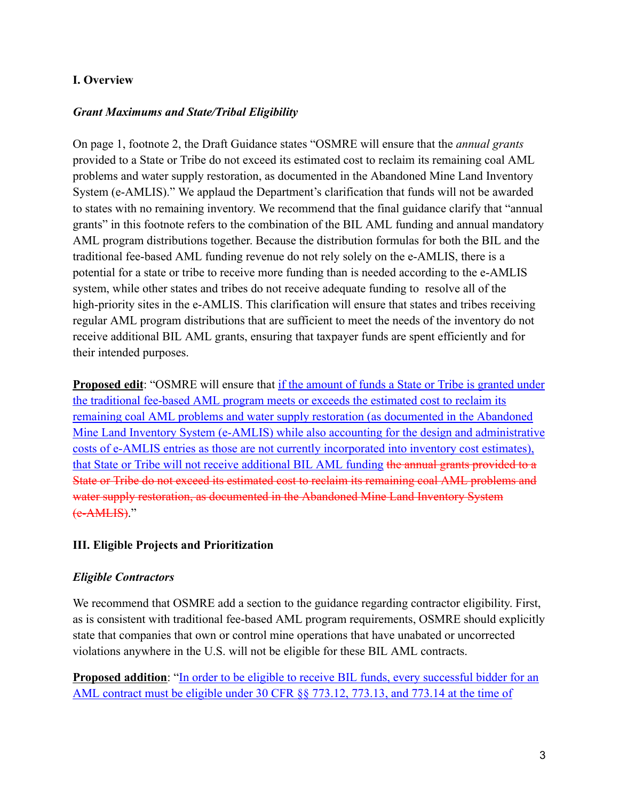### **I. Overview**

### *Grant Maximums and State/Tribal Eligibility*

On page 1, footnote 2, the Draft Guidance states "OSMRE will ensure that the *annual grants* provided to a State or Tribe do not exceed its estimated cost to reclaim its remaining coal AML problems and water supply restoration, as documented in the Abandoned Mine Land Inventory System (e-AMLIS)." We applaud the Department's clarification that funds will not be awarded to states with no remaining inventory. We recommend that the final guidance clarify that "annual grants" in this footnote refers to the combination of the BIL AML funding and annual mandatory AML program distributions together. Because the distribution formulas for both the BIL and the traditional fee-based AML funding revenue do not rely solely on the e-AMLIS, there is a potential for a state or tribe to receive more funding than is needed according to the e-AMLIS system, while other states and tribes do not receive adequate funding to resolve all of the high-priority sites in the e-AMLIS. This clarification will ensure that states and tribes receiving regular AML program distributions that are sufficient to meet the needs of the inventory do not receive additional BIL AML grants, ensuring that taxpayer funds are spent efficiently and for their intended purposes.

**Proposed edit**: "OSMRE will ensure that if the amount of funds a State or Tribe is granted under the traditional fee-based AML program meets or exceeds the estimated cost to reclaim its remaining coal AML problems and water supply restoration (as documented in the Abandoned Mine Land Inventory System (e-AMLIS) while also accounting for the design and administrative costs of e-AMLIS entries as those are not currently incorporated into inventory cost estimates), that State or Tribe will not receive additional BIL AML funding the annual grants provided to a State or Tribe do not exceed its estimated cost to reclaim its remaining coal AML problems and water supply restoration, as documented in the Abandoned Mine Land Inventory System (e-AMLIS)."

### **III. Eligible Projects and Prioritization**

### *Eligible Contractors*

We recommend that OSMRE add a section to the guidance regarding contractor eligibility. First, as is consistent with traditional fee-based AML program requirements, OSMRE should explicitly state that companies that own or control mine operations that have unabated or uncorrected violations anywhere in the U.S. will not be eligible for these BIL AML contracts.

**Proposed addition:** "In order to be eligible to receive BIL funds, every successful bidder for an AML contract must be eligible under 30 CFR §§ 773.12, 773.13, and 773.14 at the time of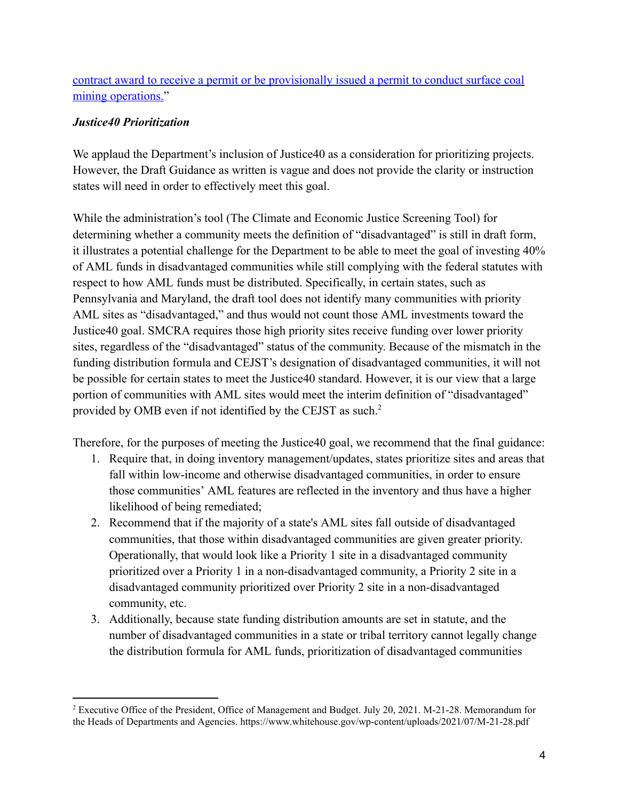contract award to receive a permit or be provisionally issued a permit to conduct surface coal mining operations."

### *Justice40 Prioritization*

We applaud the Department's inclusion of Justice40 as a consideration for prioritizing projects. However, the Draft Guidance as written is vague and does not provide the clarity or instruction states will need in order to effectively meet this goal.

While the administration's tool (The Climate and Economic Justice Screening Tool) for determining whether a community meets the definition of "disadvantaged" is still in draft form, it illustrates a potential challenge for the Department to be able to meet the goal of investing 40% of AML funds in disadvantaged communities while still complying with the federal statutes with respect to how AML funds must be distributed. Specifically, in certain states, such as Pennsylvania and Maryland, the draft tool does not identify many communities with priority AML sites as "disadvantaged," and thus would not count those AML investments toward the Justice40 goal. SMCRA requires those high priority sites receive funding over lower priority sites, regardless of the "disadvantaged" status of the community. Because of the mismatch in the funding distribution formula and CEJST's designation of disadvantaged communities, it will not be possible for certain states to meet the Justice40 standard. However, it is our view that a large portion of communities with AML sites would meet the interim definition of "disadvantaged" provided by OMB even if not identified by the CEJST as such.<sup>2</sup>

Therefore, for the purposes of meeting the Justice40 goal, we recommend that the final guidance:

- 1. Require that, in doing inventory management/updates, states prioritize sites and areas that fall within low-income and otherwise disadvantaged communities, in order to ensure those communities' AML features are reflected in the inventory and thus have a higher likelihood of being remediated;
- 2. Recommend that if the majority of a state's AML sites fall outside of disadvantaged communities, that those within disadvantaged communities are given greater priority. Operationally, that would look like a Priority 1 site in a disadvantaged community prioritized over a Priority 1 in a non-disadvantaged community, a Priority 2 site in a disadvantaged community prioritized over Priority 2 site in a non-disadvantaged community, etc.
- 3. Additionally, because state funding distribution amounts are set in statute, and the number of disadvantaged communities in a state or tribal territory cannot legally change the distribution formula for AML funds, prioritization of disadvantaged communities

<sup>&</sup>lt;sup>2</sup> Executive Office of the President, Office of Management and Budget. July 20, 2021. M-21-28. Memorandum for the Heads of Departments and Agencies. https://www.whitehouse.gov/wp-content/uploads/2021/07/M-21-28.pdf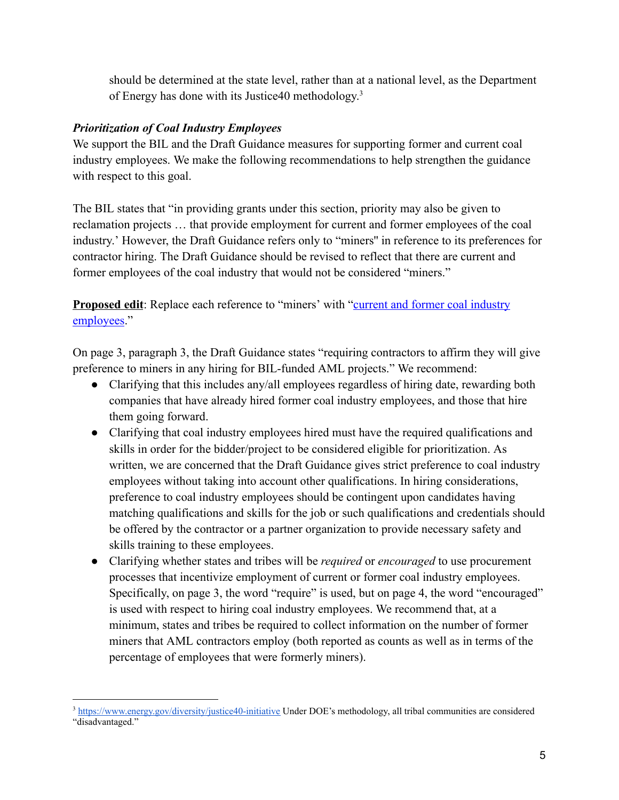should be determined at the state level, rather than at a national level, as the Department of Energy has done with its Justice40 methodology.<sup>3</sup>

## *Prioritization of Coal Industry Employees*

We support the BIL and the Draft Guidance measures for supporting former and current coal industry employees. We make the following recommendations to help strengthen the guidance with respect to this goal.

The BIL states that "in providing grants under this section, priority may also be given to reclamation projects … that provide employment for current and former employees of the coal industry.' However, the Draft Guidance refers only to "miners'' in reference to its preferences for contractor hiring. The Draft Guidance should be revised to reflect that there are current and former employees of the coal industry that would not be considered "miners."

**Proposed edit**: Replace each reference to "miners' with "**current and former coal industry** employees."

On page 3, paragraph 3, the Draft Guidance states "requiring contractors to affirm they will give preference to miners in any hiring for BIL-funded AML projects." We recommend:

- Clarifying that this includes any/all employees regardless of hiring date, rewarding both companies that have already hired former coal industry employees, and those that hire them going forward.
- Clarifying that coal industry employees hired must have the required qualifications and skills in order for the bidder/project to be considered eligible for prioritization. As written, we are concerned that the Draft Guidance gives strict preference to coal industry employees without taking into account other qualifications. In hiring considerations, preference to coal industry employees should be contingent upon candidates having matching qualifications and skills for the job or such qualifications and credentials should be offered by the contractor or a partner organization to provide necessary safety and skills training to these employees.
- Clarifying whether states and tribes will be *required* or *encouraged* to use procurement processes that incentivize employment of current or former coal industry employees. Specifically, on page 3, the word "require" is used, but on page 4, the word "encouraged" is used with respect to hiring coal industry employees. We recommend that, at a minimum, states and tribes be required to collect information on the number of former miners that AML contractors employ (both reported as counts as well as in terms of the percentage of employees that were formerly miners).

<sup>3</sup> <https://www.energy.gov/diversity/justice40-initiative> Under DOE's methodology, all tribal communities are considered "disadvantaged."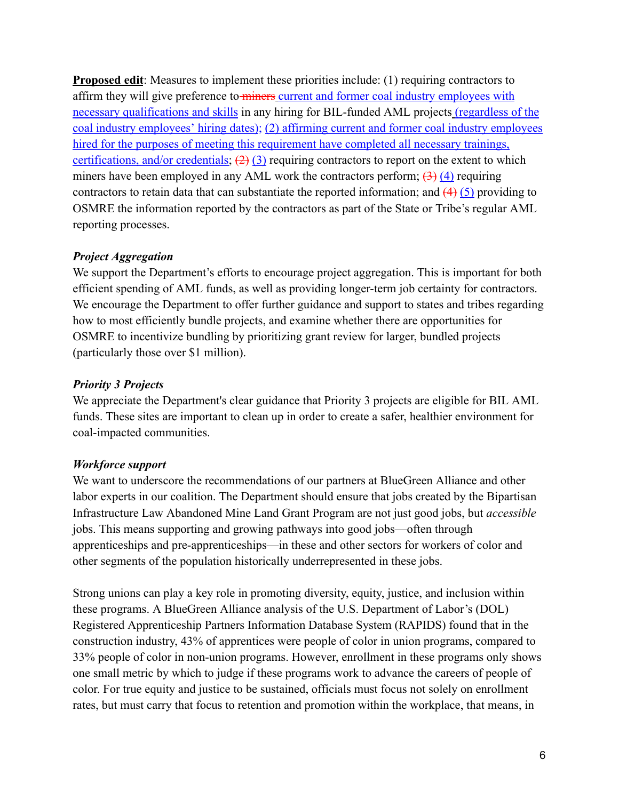**Proposed edit**: Measures to implement these priorities include: (1) requiring contractors to affirm they will give preference to miners current and former coal industry employees with necessary qualifications and skills in any hiring for BIL-funded AML projects (regardless of the coal industry employees' hiring dates); (2) affirming current and former coal industry employees hired for the purposes of meeting this requirement have completed all necessary trainings, certifications, and/or credentials;  $(2)(3)$  requiring contractors to report on the extent to which miners have been employed in any AML work the contractors perform;  $(3)$  (4) requiring contractors to retain data that can substantiate the reported information; and  $(4)$  (5) providing to OSMRE the information reported by the contractors as part of the State or Tribe's regular AML reporting processes.

### *Project Aggregation*

We support the Department's efforts to encourage project aggregation. This is important for both efficient spending of AML funds, as well as providing longer-term job certainty for contractors. We encourage the Department to offer further guidance and support to states and tribes regarding how to most efficiently bundle projects, and examine whether there are opportunities for OSMRE to incentivize bundling by prioritizing grant review for larger, bundled projects (particularly those over \$1 million).

### *Priority 3 Projects*

We appreciate the Department's clear guidance that Priority 3 projects are eligible for BIL AML funds. These sites are important to clean up in order to create a safer, healthier environment for coal-impacted communities.

### *Workforce support*

We want to underscore the recommendations of our partners at BlueGreen Alliance and other labor experts in our coalition. The Department should ensure that jobs created by the Bipartisan Infrastructure Law Abandoned Mine Land Grant Program are not just good jobs, but *accessible* jobs. This means supporting and growing pathways into good jobs—often through apprenticeships and pre-apprenticeships—in these and other sectors for workers of color and other segments of the population historically underrepresented in these jobs.

Strong unions can play a key role in promoting diversity, equity, justice, and inclusion within these programs. A BlueGreen Alliance analysis of the U.S. Department of Labor's (DOL) Registered Apprenticeship Partners Information Database System (RAPIDS) found that in the construction industry, 43% of apprentices were people of color in union programs, compared to 33% people of color in non-union programs. However, enrollment in these programs only shows one small metric by which to judge if these programs work to advance the careers of people of color. For true equity and justice to be sustained, officials must focus not solely on enrollment rates, but must carry that focus to retention and promotion within the workplace, that means, in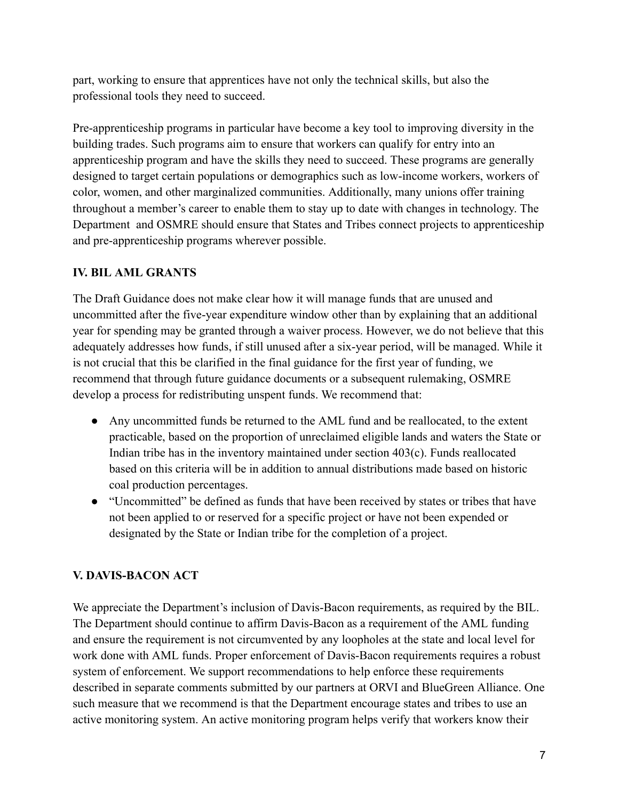part, working to ensure that apprentices have not only the technical skills, but also the professional tools they need to succeed.

Pre-apprenticeship programs in particular have become a key tool to improving diversity in the building trades. Such programs aim to ensure that workers can qualify for entry into an apprenticeship program and have the skills they need to succeed. These programs are generally designed to target certain populations or demographics such as low-income workers, workers of color, women, and other marginalized communities. Additionally, many unions offer training throughout a member's career to enable them to stay up to date with changes in technology. The Department and OSMRE should ensure that States and Tribes connect projects to apprenticeship and pre-apprenticeship programs wherever possible.

## **IV. BIL AML GRANTS**

The Draft Guidance does not make clear how it will manage funds that are unused and uncommitted after the five-year expenditure window other than by explaining that an additional year for spending may be granted through a waiver process. However, we do not believe that this adequately addresses how funds, if still unused after a six-year period, will be managed. While it is not crucial that this be clarified in the final guidance for the first year of funding, we recommend that through future guidance documents or a subsequent rulemaking, OSMRE develop a process for redistributing unspent funds. We recommend that:

- Any uncommitted funds be returned to the AML fund and be reallocated, to the extent practicable, based on the proportion of unreclaimed eligible lands and waters the State or Indian tribe has in the inventory maintained under section 403(c). Funds reallocated based on this criteria will be in addition to annual distributions made based on historic coal production percentages.
- "Uncommitted" be defined as funds that have been received by states or tribes that have not been applied to or reserved for a specific project or have not been expended or designated by the State or Indian tribe for the completion of a project.

## **V. DAVIS-BACON ACT**

We appreciate the Department's inclusion of Davis-Bacon requirements, as required by the BIL. The Department should continue to affirm Davis-Bacon as a requirement of the AML funding and ensure the requirement is not circumvented by any loopholes at the state and local level for work done with AML funds. Proper enforcement of Davis-Bacon requirements requires a robust system of enforcement. We support recommendations to help enforce these requirements described in separate comments submitted by our partners at ORVI and BlueGreen Alliance. One such measure that we recommend is that the Department encourage states and tribes to use an active monitoring system. An active monitoring program helps verify that workers know their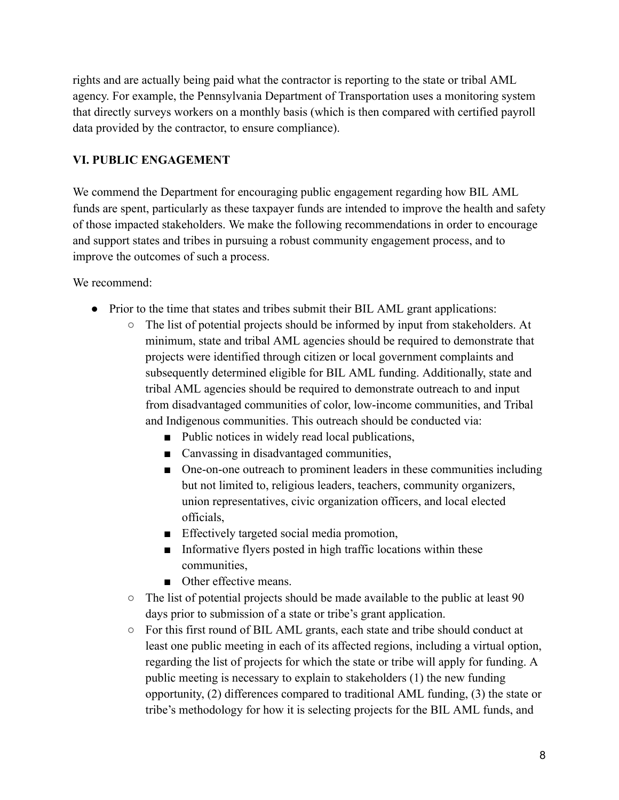rights and are actually being paid what the contractor is reporting to the state or tribal AML agency. For example, the Pennsylvania Department of Transportation uses a monitoring system that directly surveys workers on a monthly basis (which is then compared with certified payroll data provided by the contractor, to ensure compliance).

### **VI. PUBLIC ENGAGEMENT**

We commend the Department for encouraging public engagement regarding how BIL AML funds are spent, particularly as these taxpayer funds are intended to improve the health and safety of those impacted stakeholders. We make the following recommendations in order to encourage and support states and tribes in pursuing a robust community engagement process, and to improve the outcomes of such a process.

We recommend:

- Prior to the time that states and tribes submit their BIL AML grant applications:
	- The list of potential projects should be informed by input from stakeholders. At minimum, state and tribal AML agencies should be required to demonstrate that projects were identified through citizen or local government complaints and subsequently determined eligible for BIL AML funding. Additionally, state and tribal AML agencies should be required to demonstrate outreach to and input from disadvantaged communities of color, low-income communities, and Tribal and Indigenous communities. This outreach should be conducted via:
		- Public notices in widely read local publications,
		- Canvassing in disadvantaged communities,
		- One-on-one outreach to prominent leaders in these communities including but not limited to, religious leaders, teachers, community organizers, union representatives, civic organization officers, and local elected officials,
		- Effectively targeted social media promotion,
		- Informative flyers posted in high traffic locations within these communities,
		- Other effective means.
	- The list of potential projects should be made available to the public at least 90 days prior to submission of a state or tribe's grant application.
	- For this first round of BIL AML grants, each state and tribe should conduct at least one public meeting in each of its affected regions, including a virtual option, regarding the list of projects for which the state or tribe will apply for funding. A public meeting is necessary to explain to stakeholders (1) the new funding opportunity, (2) differences compared to traditional AML funding, (3) the state or tribe's methodology for how it is selecting projects for the BIL AML funds, and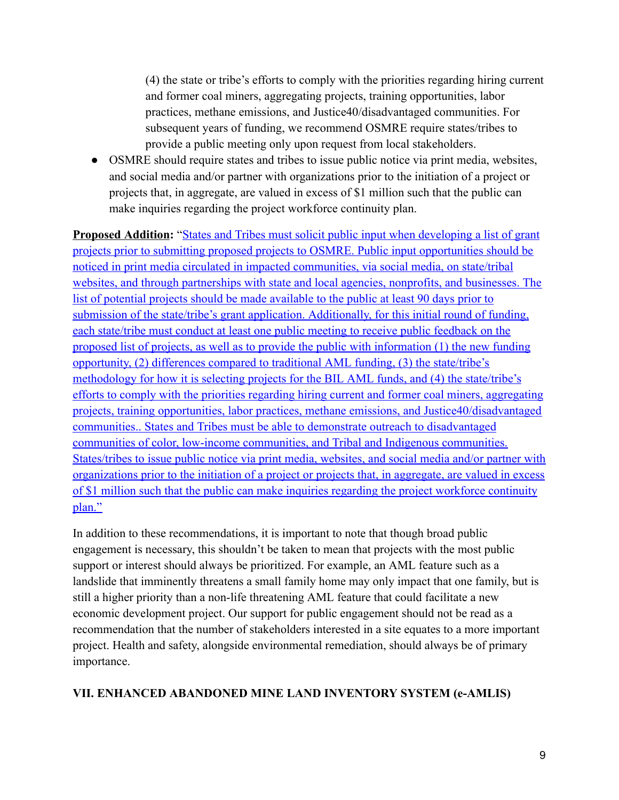(4) the state or tribe's efforts to comply with the priorities regarding hiring current and former coal miners, aggregating projects, training opportunities, labor practices, methane emissions, and Justice40/disadvantaged communities. For subsequent years of funding, we recommend OSMRE require states/tribes to provide a public meeting only upon request from local stakeholders.

• OSMRE should require states and tribes to issue public notice via print media, websites, and social media and/or partner with organizations prior to the initiation of a project or projects that, in aggregate, are valued in excess of \$1 million such that the public can make inquiries regarding the project workforce continuity plan.

**Proposed Addition:** "States and Tribes must solicit public input when developing a list of grant projects prior to submitting proposed projects to OSMRE. Public input opportunities should be noticed in print media circulated in impacted communities, via social media, on state/tribal websites, and through partnerships with state and local agencies, nonprofits, and businesses. The list of potential projects should be made available to the public at least 90 days prior to submission of the state/tribe's grant application. Additionally, for this initial round of funding, each state/tribe must conduct at least one public meeting to receive public feedback on the proposed list of projects, as well as to provide the public with information (1) the new funding opportunity, (2) differences compared to traditional AML funding, (3) the state/tribe's methodology for how it is selecting projects for the BIL AML funds, and (4) the state/tribe's efforts to comply with the priorities regarding hiring current and former coal miners, aggregating projects, training opportunities, labor practices, methane emissions, and Justice40/disadvantaged communities.. States and Tribes must be able to demonstrate outreach to disadvantaged communities of color, low-income communities, and Tribal and Indigenous communities. States/tribes to issue public notice via print media, websites, and social media and/or partner with organizations prior to the initiation of a project or projects that, in aggregate, are valued in excess of \$1 million such that the public can make inquiries regarding the project workforce continuity plan."

In addition to these recommendations, it is important to note that though broad public engagement is necessary, this shouldn't be taken to mean that projects with the most public support or interest should always be prioritized. For example, an AML feature such as a landslide that imminently threatens a small family home may only impact that one family, but is still a higher priority than a non-life threatening AML feature that could facilitate a new economic development project. Our support for public engagement should not be read as a recommendation that the number of stakeholders interested in a site equates to a more important project. Health and safety, alongside environmental remediation, should always be of primary importance.

### **VII. ENHANCED ABANDONED MINE LAND INVENTORY SYSTEM (e-AMLIS)**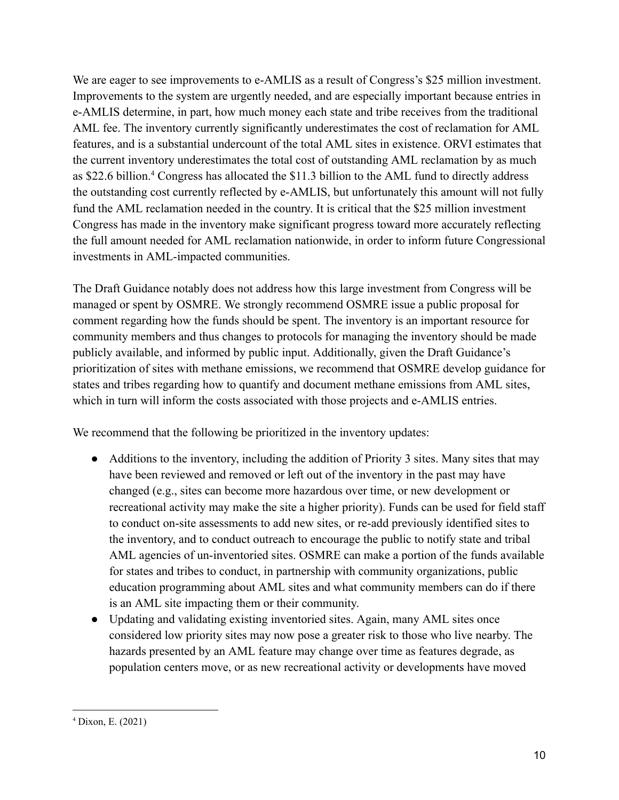We are eager to see improvements to e-AMLIS as a result of Congress's \$25 million investment. Improvements to the system are urgently needed, and are especially important because entries in e-AMLIS determine, in part, how much money each state and tribe receives from the traditional AML fee. The inventory currently significantly underestimates the cost of reclamation for AML features, and is a substantial undercount of the total AML sites in existence. ORVI estimates that the current inventory underestimates the total cost of outstanding AML reclamation by as much as \$22.6 billion.<sup>4</sup> Congress has allocated the \$11.3 billion to the AML fund to directly address the outstanding cost currently reflected by e-AMLIS, but unfortunately this amount will not fully fund the AML reclamation needed in the country. It is critical that the \$25 million investment Congress has made in the inventory make significant progress toward more accurately reflecting the full amount needed for AML reclamation nationwide, in order to inform future Congressional investments in AML-impacted communities.

The Draft Guidance notably does not address how this large investment from Congress will be managed or spent by OSMRE. We strongly recommend OSMRE issue a public proposal for comment regarding how the funds should be spent. The inventory is an important resource for community members and thus changes to protocols for managing the inventory should be made publicly available, and informed by public input. Additionally, given the Draft Guidance's prioritization of sites with methane emissions, we recommend that OSMRE develop guidance for states and tribes regarding how to quantify and document methane emissions from AML sites, which in turn will inform the costs associated with those projects and e-AMLIS entries.

We recommend that the following be prioritized in the inventory updates:

- Additions to the inventory, including the addition of Priority 3 sites. Many sites that may have been reviewed and removed or left out of the inventory in the past may have changed (e.g., sites can become more hazardous over time, or new development or recreational activity may make the site a higher priority). Funds can be used for field staff to conduct on-site assessments to add new sites, or re-add previously identified sites to the inventory, and to conduct outreach to encourage the public to notify state and tribal AML agencies of un-inventoried sites. OSMRE can make a portion of the funds available for states and tribes to conduct, in partnership with community organizations, public education programming about AML sites and what community members can do if there is an AML site impacting them or their community.
- Updating and validating existing inventoried sites. Again, many AML sites once considered low priority sites may now pose a greater risk to those who live nearby. The hazards presented by an AML feature may change over time as features degrade, as population centers move, or as new recreational activity or developments have moved

<sup>4</sup> Dixon, E. (2021)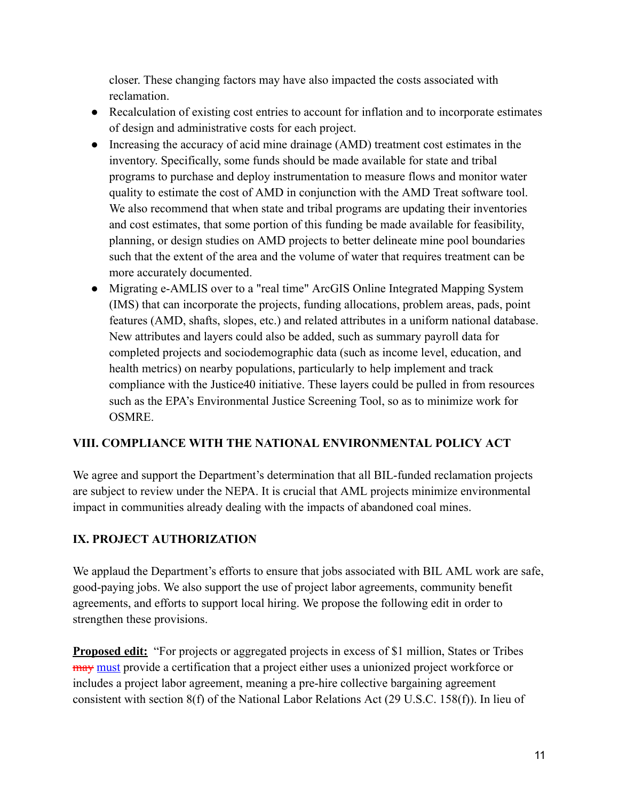closer. These changing factors may have also impacted the costs associated with reclamation.

- Recalculation of existing cost entries to account for inflation and to incorporate estimates of design and administrative costs for each project.
- Increasing the accuracy of acid mine drainage (AMD) treatment cost estimates in the inventory. Specifically, some funds should be made available for state and tribal programs to purchase and deploy instrumentation to measure flows and monitor water quality to estimate the cost of AMD in conjunction with the AMD Treat software tool. We also recommend that when state and tribal programs are updating their inventories and cost estimates, that some portion of this funding be made available for feasibility, planning, or design studies on AMD projects to better delineate mine pool boundaries such that the extent of the area and the volume of water that requires treatment can be more accurately documented.
- Migrating e-AMLIS over to a "real time" ArcGIS Online Integrated Mapping System (IMS) that can incorporate the projects, funding allocations, problem areas, pads, point features (AMD, shafts, slopes, etc.) and related attributes in a uniform national database. New attributes and layers could also be added, such as summary payroll data for completed projects and sociodemographic data (such as income level, education, and health metrics) on nearby populations, particularly to help implement and track compliance with the Justice40 initiative. These layers could be pulled in from resources such as the EPA's Environmental Justice Screening Tool, so as to minimize work for OSMRE.

## **VIII. COMPLIANCE WITH THE NATIONAL ENVIRONMENTAL POLICY ACT**

We agree and support the Department's determination that all BIL-funded reclamation projects are subject to review under the NEPA. It is crucial that AML projects minimize environmental impact in communities already dealing with the impacts of abandoned coal mines.

## **IX. PROJECT AUTHORIZATION**

We applaud the Department's efforts to ensure that jobs associated with BIL AML work are safe, good-paying jobs. We also support the use of project labor agreements, community benefit agreements, and efforts to support local hiring. We propose the following edit in order to strengthen these provisions.

**Proposed edit:** "For projects or aggregated projects in excess of \$1 million, States or Tribes may must provide a certification that a project either uses a unionized project workforce or includes a project labor agreement, meaning a pre-hire collective bargaining agreement consistent with section 8(f) of the National Labor Relations Act (29 U.S.C. 158(f)). In lieu of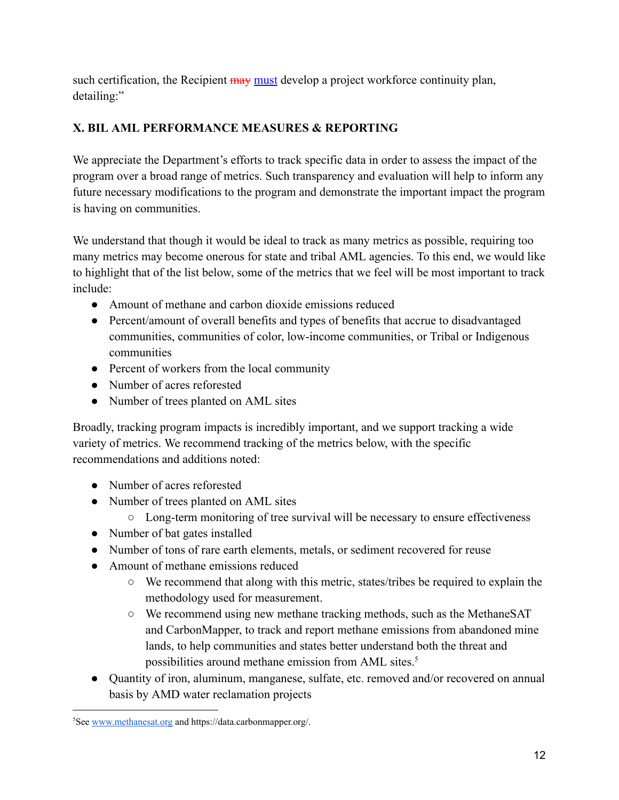such certification, the Recipient may must develop a project workforce continuity plan, detailing:"

# **X. BIL AML PERFORMANCE MEASURES & REPORTING**

We appreciate the Department's efforts to track specific data in order to assess the impact of the program over a broad range of metrics. Such transparency and evaluation will help to inform any future necessary modifications to the program and demonstrate the important impact the program is having on communities.

We understand that though it would be ideal to track as many metrics as possible, requiring too many metrics may become onerous for state and tribal AML agencies. To this end, we would like to highlight that of the list below, some of the metrics that we feel will be most important to track include:

- Amount of methane and carbon dioxide emissions reduced
- Percent/amount of overall benefits and types of benefits that accrue to disadvantaged communities, communities of color, low-income communities, or Tribal or Indigenous communities
- Percent of workers from the local community
- Number of acres reforested
- Number of trees planted on AML sites

Broadly, tracking program impacts is incredibly important, and we support tracking a wide variety of metrics. We recommend tracking of the metrics below, with the specific recommendations and additions noted:

- Number of acres reforested
- Number of trees planted on AML sites
	- Long-term monitoring of tree survival will be necessary to ensure effectiveness
- Number of bat gates installed
- Number of tons of rare earth elements, metals, or sediment recovered for reuse
- Amount of methane emissions reduced
	- We recommend that along with this metric, states/tribes be required to explain the methodology used for measurement.
	- We recommend using new methane tracking methods, such as the MethaneSAT and CarbonMapper, to track and report methane emissions from abandoned mine lands, to help communities and states better understand both the threat and possibilities around methane emission from AML sites.<sup>5</sup>
- Quantity of iron, aluminum, manganese, sulfate, etc. removed and/or recovered on annual basis by AMD water reclamation projects

<sup>5</sup>See [www.methanesat.org](http://www.methanesat.org/) and https://data.carbonmapper.org/.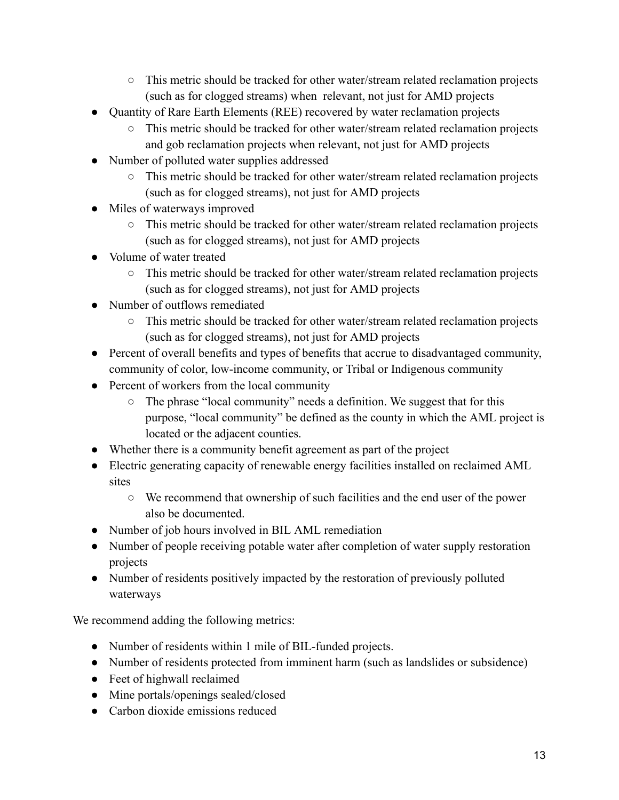- This metric should be tracked for other water/stream related reclamation projects (such as for clogged streams) when relevant, not just for AMD projects
- Quantity of Rare Earth Elements (REE) recovered by water reclamation projects
	- This metric should be tracked for other water/stream related reclamation projects and gob reclamation projects when relevant, not just for AMD projects
- Number of polluted water supplies addressed
	- This metric should be tracked for other water/stream related reclamation projects (such as for clogged streams), not just for AMD projects
- Miles of waterways improved
	- This metric should be tracked for other water/stream related reclamation projects (such as for clogged streams), not just for AMD projects
- Volume of water treated
	- This metric should be tracked for other water/stream related reclamation projects (such as for clogged streams), not just for AMD projects
- Number of outflows remediated
	- This metric should be tracked for other water/stream related reclamation projects (such as for clogged streams), not just for AMD projects
- Percent of overall benefits and types of benefits that accrue to disadvantaged community, community of color, low-income community, or Tribal or Indigenous community
- Percent of workers from the local community
	- The phrase "local community" needs a definition. We suggest that for this purpose, "local community" be defined as the county in which the AML project is located or the adjacent counties.
- Whether there is a community benefit agreement as part of the project
- Electric generating capacity of renewable energy facilities installed on reclaimed AML sites
	- We recommend that ownership of such facilities and the end user of the power also be documented.
- Number of job hours involved in BIL AML remediation
- Number of people receiving potable water after completion of water supply restoration projects
- Number of residents positively impacted by the restoration of previously polluted waterways

We recommend adding the following metrics:

- Number of residents within 1 mile of BIL-funded projects.
- Number of residents protected from imminent harm (such as landslides or subsidence)
- Feet of highwall reclaimed
- Mine portals/openings sealed/closed
- Carbon dioxide emissions reduced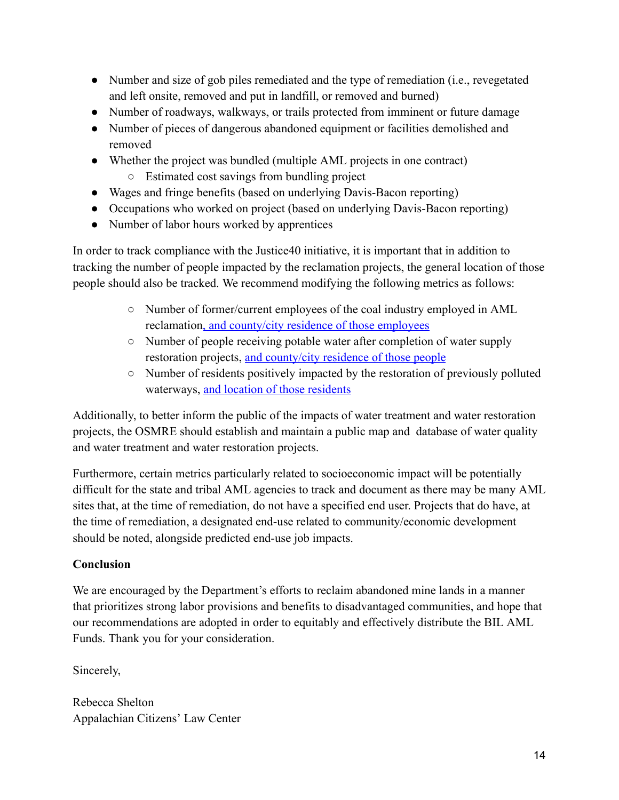- Number and size of gob piles remediated and the type of remediation (i.e., revegetated and left onsite, removed and put in landfill, or removed and burned)
- Number of roadways, walkways, or trails protected from imminent or future damage
- Number of pieces of dangerous abandoned equipment or facilities demolished and removed
- Whether the project was bundled (multiple AML projects in one contract)
	- Estimated cost savings from bundling project
- Wages and fringe benefits (based on underlying Davis-Bacon reporting)
- Occupations who worked on project (based on underlying Davis-Bacon reporting)
- Number of labor hours worked by apprentices

In order to track compliance with the Justice40 initiative, it is important that in addition to tracking the number of people impacted by the reclamation projects, the general location of those people should also be tracked. We recommend modifying the following metrics as follows:

- Number of former/current employees of the coal industry employed in AML reclamation, and county/city residence of those employees
- Number of people receiving potable water after completion of water supply restoration projects, and county/city residence of those people
- Number of residents positively impacted by the restoration of previously polluted waterways, and location of those residents

Additionally, to better inform the public of the impacts of water treatment and water restoration projects, the OSMRE should establish and maintain a public map and database of water quality and water treatment and water restoration projects.

Furthermore, certain metrics particularly related to socioeconomic impact will be potentially difficult for the state and tribal AML agencies to track and document as there may be many AML sites that, at the time of remediation, do not have a specified end user. Projects that do have, at the time of remediation, a designated end-use related to community/economic development should be noted, alongside predicted end-use job impacts.

### **Conclusion**

We are encouraged by the Department's efforts to reclaim abandoned mine lands in a manner that prioritizes strong labor provisions and benefits to disadvantaged communities, and hope that our recommendations are adopted in order to equitably and effectively distribute the BIL AML Funds. Thank you for your consideration.

Sincerely,

Rebecca Shelton Appalachian Citizens' Law Center